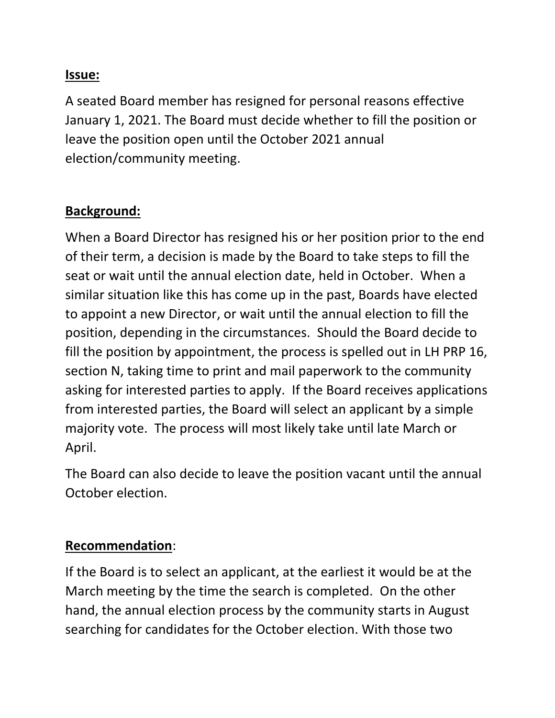## **Issue:**

A seated Board member has resigned for personal reasons effective January 1, 2021. The Board must decide whether to fill the position or leave the position open until the October 2021 annual election/community meeting.

## **Background:**

When a Board Director has resigned his or her position prior to the end of their term, a decision is made by the Board to take steps to fill the seat or wait until the annual election date, held in October. When a similar situation like this has come up in the past, Boards have elected to appoint a new Director, or wait until the annual election to fill the position, depending in the circumstances. Should the Board decide to fill the position by appointment, the process is spelled out in LH PRP 16, section N, taking time to print and mail paperwork to the community asking for interested parties to apply. If the Board receives applications from interested parties, the Board will select an applicant by a simple majority vote. The process will most likely take until late March or April.

The Board can also decide to leave the position vacant until the annual October election.

## **Recommendation**:

If the Board is to select an applicant, at the earliest it would be at the March meeting by the time the search is completed. On the other hand, the annual election process by the community starts in August searching for candidates for the October election. With those two